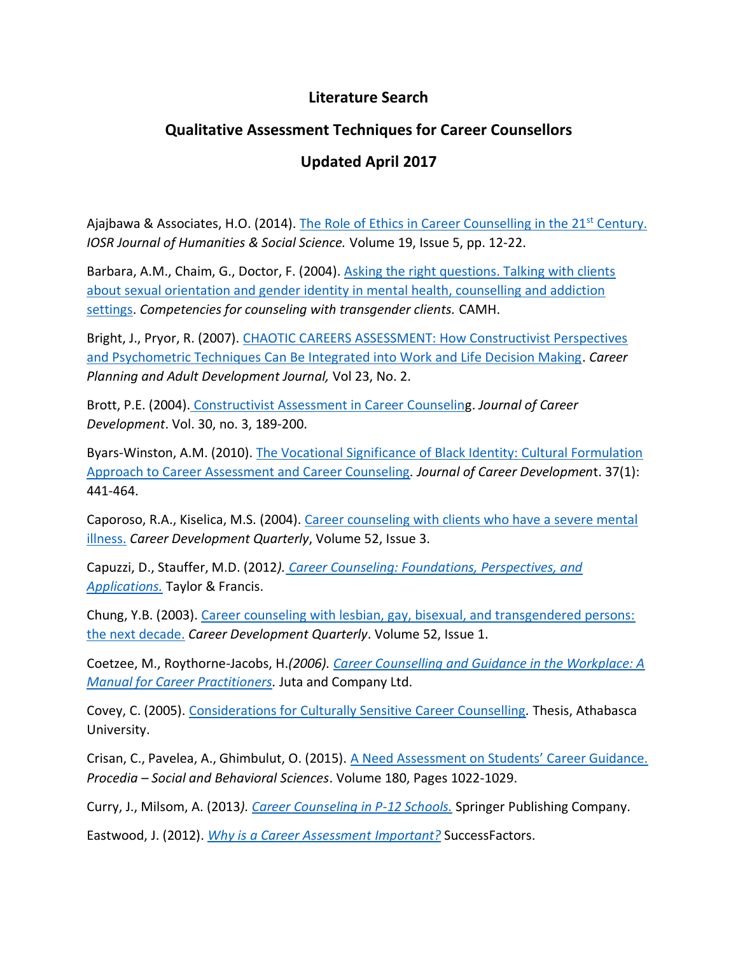## **Literature Search**

## **Qualitative Assessment Techniques for Career Counsellors**

## **Updated April 2017**

Ajajbawa & Associates, H.O. (2014). [The Role of Ethics in Career Counselling in the 21](http://www.docstoc.com/docs/171581102/The-Role-of-Ethics-in-Career-Counselling-in-the-21st-Century)<sup>st</sup> Century. *IOSR Journal of Humanities & Social Science.* Volume 19, Issue 5, pp. 12-22.

Barbara, A.M., Chaim, G., Doctor, F. (2004). [Asking the right questions. Talking with clients](http://knowledgex.camh.net/amhspecialists/Screening_Assessment/assessment/ARQ2/Documents/arq2.pdf)  [about sexual orientation and gender identity in mental health, counselling and addiction](http://knowledgex.camh.net/amhspecialists/Screening_Assessment/assessment/ARQ2/Documents/arq2.pdf)  [settings.](http://knowledgex.camh.net/amhspecialists/Screening_Assessment/assessment/ARQ2/Documents/arq2.pdf) *Competencies for counseling with transgender clients.* CAMH.

Bright, J., Pryor, R. (2007). [CHAOTIC CAREERS ASSESSMENT: How Constructivist Perspectives](http://www.questia.com/library/journal/1P3-1357499641/chaotic-careers-asses)  [and Psychometric Techniques Can Be Integrated into Work and Life Decision Making.](http://www.questia.com/library/journal/1P3-1357499641/chaotic-careers-asses) *Career Planning and Adult Development Journal,* Vol 23, No. 2.

Brott, P.E. (2004). [Constructivist Assessment in Career Counseling](http://jcd.sagepub.com/content/30/3/189.short?rss=1&ssource=mfr). *Journal of Career Development*. Vol. 30, no. 3, 189-200.

Byars-Winston, A.M. (2010). [The Vocational Significance of Black Identity: Cultural Formulation](http://www.ncbi.nlm.nih.gov/pubmed/20495668)  [Approach to Career Assessment and Career Counseling](http://www.ncbi.nlm.nih.gov/pubmed/20495668)*. Journal of Career Developmen*t. 37(1): 441-464.

Caporoso, R.A., Kiselica, M.S. (2004). [Career counseling with clients who have a severe mental](http://onlinelibrary.wiley.com/doi/10.1002/j.2161-0045.2004.tb00645.x/abstract)  [illness.](http://onlinelibrary.wiley.com/doi/10.1002/j.2161-0045.2004.tb00645.x/abstract) *Career Development Quarterly*, Volume 52, Issue 3.

Capuzzi, D., Stauffer, M.D. (2012*). [Career Counseling: Foundations, Perspectives, and](http://media.routledgeweb.com/pp/common/sample-chapters/9780415885942.pdf)  [Applications.](http://media.routledgeweb.com/pp/common/sample-chapters/9780415885942.pdf)* Taylor & Francis.

Chung, Y.B. (2003). [Career counseling with lesbian, gay, bisexual, and transgendered persons:](http://www.freepatentsonline.com/article/Career-Development-Quarterly/108693598.html)  [the next decade.](http://www.freepatentsonline.com/article/Career-Development-Quarterly/108693598.html) *Career Development Quarterly*. Volume 52, Issue 1.

Coetzee, M., Roythorne-Jacobs, H.*(2006). [Career Counselling and Guidance in the Workplace: A](https://books.google.ca/books?id=VPTDTslQ5V0C&redir_esc=y)  [Manual for Career Practitioners.](https://books.google.ca/books?id=VPTDTslQ5V0C&redir_esc=y)* Juta and Company Ltd.

Covey, C. (2005). [Considerations for Culturally Sensitive Career Counselling](http://dtpr.lib.athabascau.ca/action/download.php?filename=caap/C%20Covey%20Final%20project%20FINAL%20Version.pdf)*.* Thesis, Athabasca University.

Crisan, C., Pavelea, A., Ghimbulut, O. (2015). [A Need Assessment on Students' Career Guidance.](http://www.sciencedirect.com/science/article/pii/S1877042815015426) *Procedia – Social and Behavioral Sciences*. Volume 180, Pages 1022-1029.

Curry, J., Milsom, A. (2013*). [Career Counseling in P-12 Schools.](http://www.springerpub.com/career-counseling-in-p-12-schools.html)* Springer Publishing Company.

Eastwood, J. (2012). *[Why is a Career Assessment](http://www.successfactors.com/en_us/lp/articles/career-assessment.html) Important?* SuccessFactors.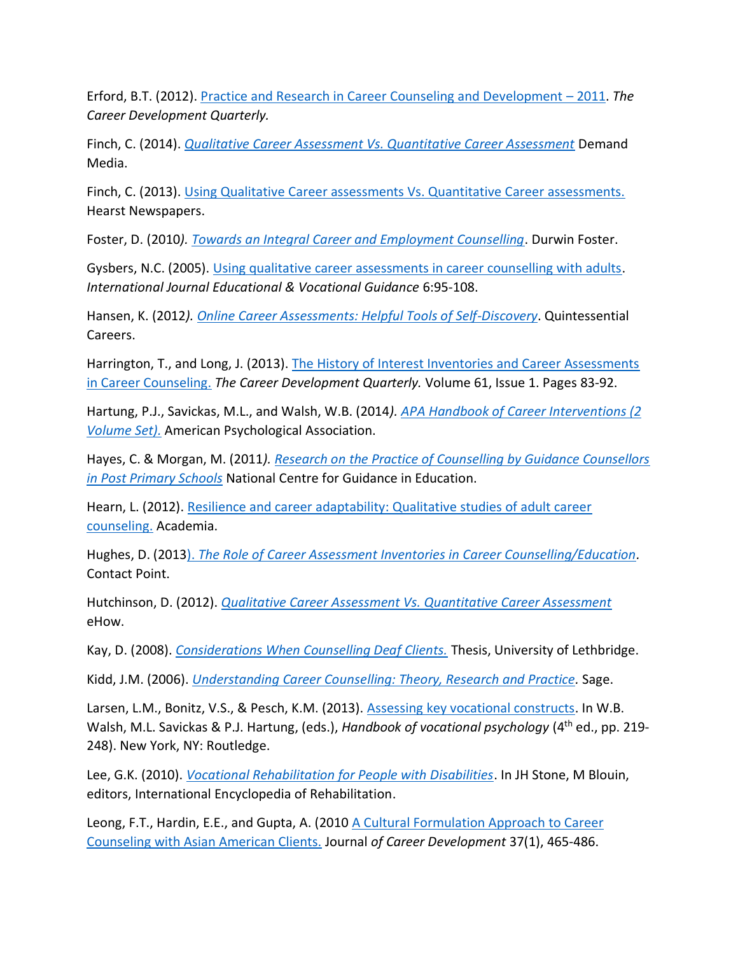Erford, B.T. (2012). [Practice and Research in Career Counseling and Development](http://www.readperiodicals.com/201212/2860562841.html) – 2011. *The Career Development Quarterly.* 

Finch, C. (2014). *[Qualitative Career Assessment Vs. Quantitative Career Assessment](http://work.chron.com/qualitative-career-assessment-vs-quantitative-career-assessment-25320.html)* Demand Media.

Finch, C. (2013). [Using Qualitative Career assessments Vs. Quantitative Career assessments.](http://fatvox.com/using-qualitative-career-assessments-vs-quantitative-career-assessments/) Hearst Newspapers.

Foster, D. (2010*). [Towards an Integral Career and Employment Counselling](http://www.academia.edu/257878/Towards_An_Integral_Career_and_Employment_Counselling)*. Durwin Foster.

Gysbers, N.C. (2005). [Using qualitative career assessments in career counselling with adults.](http://www.choixdecarriere.com/pdf/5873/53.pdf) *International Journal Educational & Vocational Guidance* 6:95-108.

Hansen, K. (2012*). [Online Career Assessments: Helpful Tools of Self-Discovery](http://www.quintcareers.com/online_career_assessments.html)*. Quintessential Careers.

Harrington, T., and Long, J. (2013). [The History of Interest Inventories and Career Assessments](http://onlinelibrary.wiley.com/doi/10.1002/j.2161-0045.2013.00039.x/abstract)  [in Career Counseling.](http://onlinelibrary.wiley.com/doi/10.1002/j.2161-0045.2013.00039.x/abstract) *The Career Development Quarterly.* Volume 61, Issue 1. Pages 83-92.

Hartung, P.J., Savickas, M.L., and Walsh, W.B. (2014). APA Handbook of Career Interventions (2 *[Volume Set\).](http://www.footprint.com.au/product-detail.asp?SubSection=Coming+Soon&product=9781433817533&ParentPage=product-listing.asp%3Fkeywords%3D%26scope%3D%26Category%3DFOR)* American Psychological Association.

Hayes, C. & Morgan, M. (2011*)[. Research on the Practice of Counselling by Guidance Counsellors](http://www.ncge.ie/uploads/The_Practice_of_Counselling_by_Guidance_Counsellors_in_Post_Primary_Schools.pdf)  [in Post Primary Schools](http://www.ncge.ie/uploads/The_Practice_of_Counselling_by_Guidance_Counsellors_in_Post_Primary_Schools.pdf)* National Centre for Guidance in Education.

Hearn, L. (2012). [Resilience and career adaptability: Qualitative studies of adult career](http://www.academia.edu/31404813/Resilience_and_career_adaptability_Qualitative_studies_of_adult_career_counseling)  [counseling.](http://www.academia.edu/31404813/Resilience_and_career_adaptability_Qualitative_studies_of_adult_career_counseling) Academia.

Hughes, D. (2013). *[The Role of Career Assessment Inventories in Career Counselling/Education.](http://contactpoint.ca/2013/02/the-role-of-career-assessment-inventories-in-career-counsellingeducation-2/)* Contact Point.

Hutchinson, D. (2012). *[Qualitative Career Assessment Vs. Quantitative Career Assessment](http://www.ehow.com/facts_7487619_qualitative-vs-quantitative-career-assessm)* eHow.

Kay, D. (2008). *[Considerations When Counselling Deaf Clients.](https://www.uleth.ca/dspace/bitstream/handle/10133/761/kay,%20dee%20dee.pdf?sequence=1)* Thesis, University of Lethbridge.

Kidd, J.M. (2006). *[Understanding Career Counselling: Theory, Research and Practice.](http://books.google.ca/books?id=mxU-N-74VRsC&dq=assessment+techniques+in+career+counselling&source=gbs_navlinks_s)* Sage.

Larsen, L.M., Bonitz, V.S., & Pesch, K.M. (2013). [Assessing key vocational constructs.](https://www.routledgehandbooks.com/doi/10.4324/9780203143209.ch9) In W.B. Walsh, M.L. Savickas & P.J. Hartung, (eds.), *Handbook of vocational psychology* (4th ed., pp. 219- 248). New York, NY: Routledge.

Lee, G.K. (2010). *[Vocational Rehabilitation for People with Disabilities](http://cirrie.buffalo.edu/encyclopedia/en/article/128/)*. In JH Stone, M Blouin, editors, International Encyclopedia of Rehabilitation.

Leong, F.T., Hardin, E.E., and Gupta, A. (2010 [A Cultural Formulation Approach to Career](https://www.econbiz.de/Record/a-cultural-formulation-approach-to-career-assessment-and-career-counseling-with-asian-american-clients-leong-frederick/10003983396)  [Counseling with Asian American Clients.](https://www.econbiz.de/Record/a-cultural-formulation-approach-to-career-assessment-and-career-counseling-with-asian-american-clients-leong-frederick/10003983396) Journal *of Career Development* 37(1), 465-486.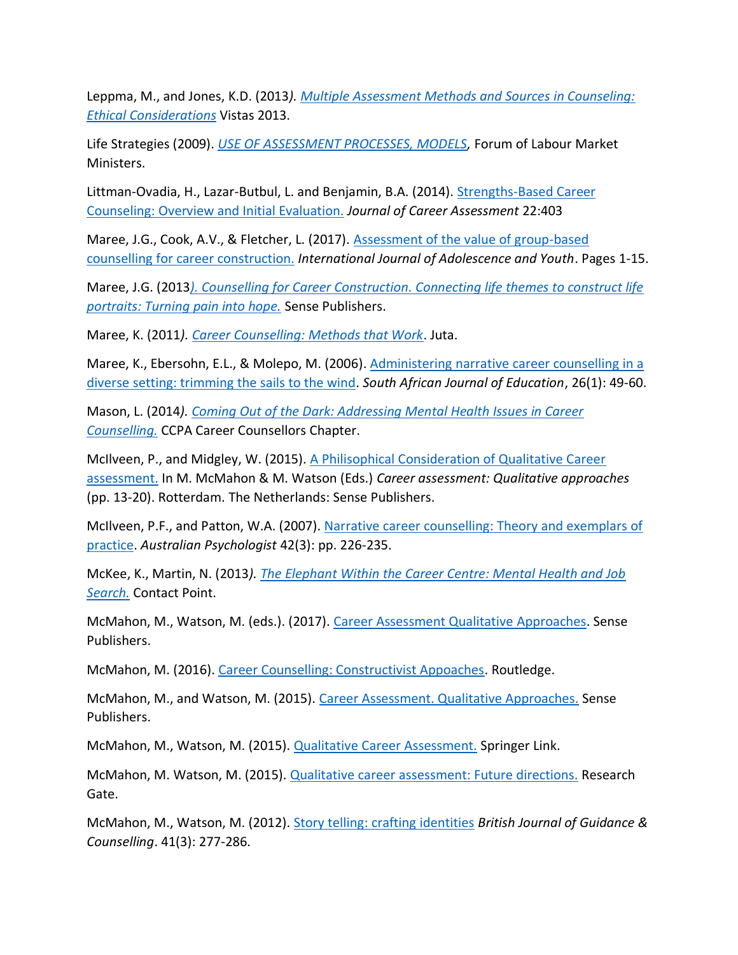Leppma, M., and Jones, K.D. (2013*). [Multiple Assessment Methods and Sources in Counseling:](http://www.counseling.org/knowledge-center/vistas/by-subject2/vistas-assessment/docs/default-source/vistas/multiple-assessment-methods-and-sources-in-counseling-ethical-considerations)  [Ethical Considerations](http://www.counseling.org/knowledge-center/vistas/by-subject2/vistas-assessment/docs/default-source/vistas/multiple-assessment-methods-and-sources-in-counseling-ethical-considerations)* Vistas 2013.

Life Strategies (2009). *[USE OF ASSESSMENT PROCESSES, MODELS,](http://lifestrategies.ca/projects/assessment-processes-and-tools.cfm)* Forum of Labour Market Ministers.

Littman-Ovadia, H., Lazar-Butbul, L. and Benjamin, B.A. (2014). Strengths-Based Career [Counseling: Overview and Initial Evaluation.](http://journals.sagepub.com/doi/abs/10.1177/1069072713498483) *Journal of Career Assessment* 22:403

Maree, J.G., Cook, A.V., & Fletcher, L. (2017). [Assessment of the value of group-based](http://www.tandfonline.com/doi/full/10.1080/02673843.2017.1309324)  [counselling for career construction.](http://www.tandfonline.com/doi/full/10.1080/02673843.2017.1309324) *International Journal of Adolescence and Youth*. Pages 1-15.

Maree, J.G. (2013*[\). Counselling for Career Construction. Connecting life themes to construct life](https://www.sensepublishers.com/media/1664-counselling-for-career-con)  [portraits: Turning pain into hope.](https://www.sensepublishers.com/media/1664-counselling-for-career-con)* Sense Publishers.

Maree, K. (2011*). [Career Counselling: Methods that Work](http://books.google.ca/books/about/Career_Counselling.html?id=-g8GirqydXYC&redir_esc=y)*. Juta.

Maree, K., Ebersohn, E.L., & Molepo, M. (2006). Administering [narrative career counselling in a](http://repository.up.ac.za/handle/2263/2190)  [diverse setting: trimming the sails to the wind.](http://repository.up.ac.za/handle/2263/2190) *South African Journal of Education*, 26(1): 49-60.

Mason, L. (2014*). [Coming Out of the Dark: Addressing Mental Health Issues in Career](http://ccpacdchapter.blogspot.ca/2013/10/coming-out-of-dark-addressing-mental.html)  [Counselling.](http://ccpacdchapter.blogspot.ca/2013/10/coming-out-of-dark-addressing-mental.html)* CCPA Career Counsellors Chapter.

McIlveen, P., and Midgley, W. (2015). A Philisophical [Consideration of Qualitative Career](https://link.springer.com/chapter/10.1007%2F978-94-6300-034-5_2#page-1)  [assessment.](https://link.springer.com/chapter/10.1007%2F978-94-6300-034-5_2#page-1) In M. McMahon & M. Watson (Eds.) *Career assessment: Qualitative approaches* (pp. 13-20). Rotterdam. The Netherlands: Sense Publishers.

McIlveen, P.F., and Patton, W.A. (2007). [Narrative career counselling: Theory and exemplars of](http://eprints.qut.edu.au/15047/1/15047.pdf)  [practice.](http://eprints.qut.edu.au/15047/1/15047.pdf) *Australian Psychologist* 42(3): pp. 226-235.

McKee, K., Martin, N. (2013*). [The Elephant Within the Career Centre: Mental Health and Job](http://contactpoint.ca/2013/06/the-elephant-in-the-career-centre-mental-health-and-job-search/)  [Search.](http://contactpoint.ca/2013/06/the-elephant-in-the-career-centre-mental-health-and-job-search/)* Contact Point.

McMahon, M., Watson, M. (eds.). (2017). [Career Assessment Qualitative](https://www.sensepublishers.com/media/2396-career-assessment.pdf) Approaches. Sense Publishers.

McMahon, M. (2016). [Career Counselling: Constructivist Appoaches.](https://www.amazon.ca/Career-Counselling-Constructivist-Mary-McMahon/dp/0415385636) Routledge.

McMahon, M., and Watson, M. (2015). [Career Assessment. Qualitative Approaches.](http://www.springer.com/la/book/9789463000345) Sense Publishers.

McMahon, M., Watson, M. (2015). [Qualitative Career Assessment.](https://www.researchgate.net/publication/283836709_Qualitative_career_assessment_Future_directions) Springer Link.

McMahon, M. Watson, M. (2015). [Qualitative career assessment: Future directions.](https://www.researchgate.net/publication/283836709_Qualitative_career_assessment_Future_directions) Research Gate.

McMahon, M., Watson, M. (2012). [Story telling: crafting identities](http://www.ncbi.nlm.nih.gov/pmc/articles/PMC3756621/) *British Journal of Guidance & Counselling*. 41(3): 277-286.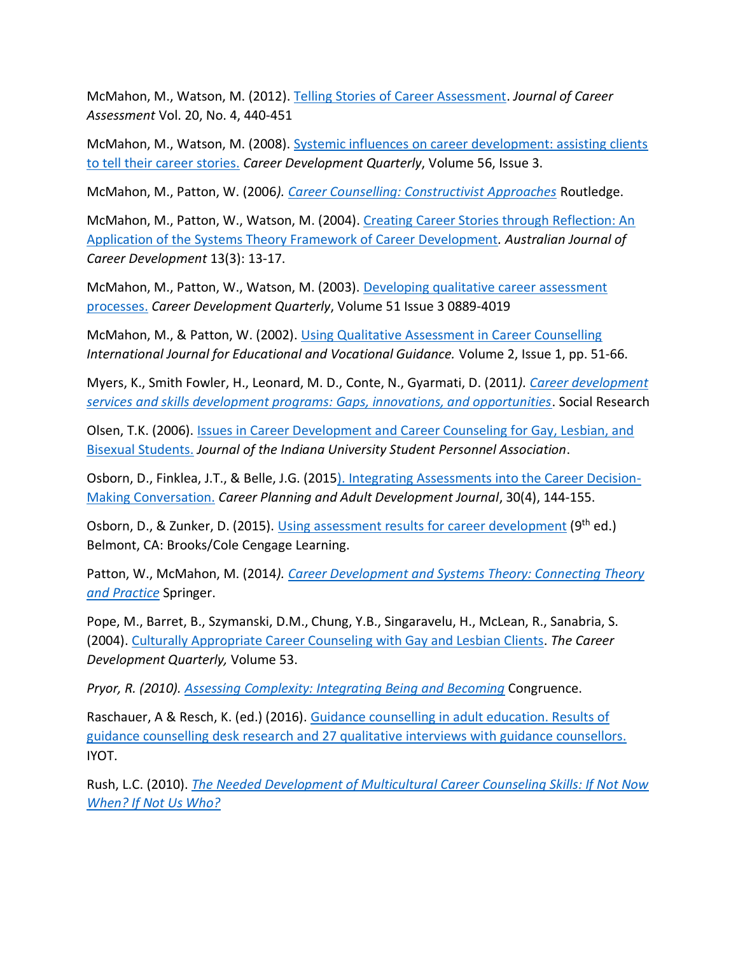McMahon, M., Watson, M. (2012). [Telling Stories of Career Assessment.](http://jca.sagepub.com/content/20/4/440.abstract) *Journal of Career Assessment* Vol. 20, No. 4, 440-451

McMahon, M., Watson, M. (2008). [Systemic influences on career development: assisting clients](http://onlinelibrary.wiley.com/doi/10.1002/j.2161-0045.2008.tb00043.x/abstract)  [to tell their career stories.](http://onlinelibrary.wiley.com/doi/10.1002/j.2161-0045.2008.tb00043.x/abstract) *Career Development Quarterly*, Volume 56, Issue 3.

McMahon, M., Patton, W. (2006*). [Career Counselling: Constructivist Approaches](http://books.google.ca/books?hl=en&lr=&id=oauWzbXzUIoC&oi=fnd&pg=PP1&dq=mcmahon.+m,+patton,+w,+2006+career+counselling:+constructivist&ots=FDxFEogbL8&sig=kRkrjhjstjyyGAW5M0n827tJwrs#v=onepage&q&f=false)* Routledge.

McMahon, M., Patton, W., Watson, M. (2004). [Creating Career Stories through Reflection: An](http://acd.sagepub.com/content/13/3/13.short)  [Application of the Systems Theory Framework of Career Development](http://acd.sagepub.com/content/13/3/13.short)*. Australian Journal of Career Development* 13(3): 13-17.

McMahon, M., Patton, W., Watson, M. (2003). [Developing qualitative career assessment](http://onlinelibrary.wiley.com/doi/10.1002/j.2161-0045.2003.tb00601.x/abstract)  [processes.](http://onlinelibrary.wiley.com/doi/10.1002/j.2161-0045.2003.tb00601.x/abstract) *Career Development Quarterly*, Volume 51 Issue 3 0889-4019

McMahon, M., & Patton, W. (2002). [Using Qualitative Assessment in Career Counselling](http://link.springer.com/article/10.1023%2FA%3A1014283407496#page-1) *International Journal for Educational and Vocational Guidance.* Volume 2, Issue 1, pp. 51-66.

Myers, K., Smith Fowler, H., Leonard, M. D., Conte, N., Gyarmati, D. (2011*). [Career development](http://www.srdc.org/uploads/cds_report_en.pdf)  [services and skills development programs: Gaps, innovations, and opportunities](http://www.srdc.org/uploads/cds_report_en.pdf)*. Social Research

Olsen, T.K. (2006). [Issues in Career Development and Career Counseling for Gay, Lesbian, and](http://scholarworks.iu.edu/journals/index.php/jiuspa/article/view/4529/4153)  [Bisexual Students.](http://scholarworks.iu.edu/journals/index.php/jiuspa/article/view/4529/4153) *Journal of the Indiana University Student Personnel Association*.

Osborn, D., Finklea, J.T., & Belle, J.G. (201[5\). Integrating Assessments into the Career Decision-](https://www.researchgate.net/publication/271212494_Integrating_Assessments_into_the_Career_Decision-Making_Conversation)[Making Conversation.](https://www.researchgate.net/publication/271212494_Integrating_Assessments_into_the_Career_Decision-Making_Conversation) *Career Planning and Adult Development Journal*, 30(4), 144-155.

Osborn, D., & Zunker, D. (2015). [Using assessment results for career development](https://www.amazon.ca/Using-Assessment-Results-Career-Development/dp/1305397770) (9<sup>th</sup> ed.) Belmont, CA: Brooks/Cole Cengage Learning.

Patton, W., McMahon, M. (2014*). [Career Development and Systems Theory: Connecting Theory](https://www.sensepublishers.com/media/1934-career-development-and-systems-theory.pdf)  [and Practice](https://www.sensepublishers.com/media/1934-career-development-and-systems-theory.pdf)* Springer.

Pope, M., Barret, B., Szymanski, D.M., Chung, Y.B., Singaravelu, H., McLean, R., Sanabria, S. (2004). [Culturally Appropriate Career Counseling with Gay and Lesbian Clients.](http://sccn645glbt.wikispaces.com/file/view/Culturally+appropriate+CC+with+lbgt.pdf) *The Career Development Quarterly,* Volume 53.

*Pryor, R. (2010). [Assessing Complexity: Integrating Being and Becoming](http://onlinelibrary.wiley.com/doi/10.1002/j.2161-1920.2007.tb00031.x/abstract)* Congruence.

Raschauer, A & Resch, K. (ed.) (2016). [Guidance counselling in adult education. Results of](https://ec.europa.eu/epale/sites/epale/files/iyot_research_report_2016-04-13.pdf)  [guidance counselling desk research and 27 qualitative interviews with guidance counsellors.](https://ec.europa.eu/epale/sites/epale/files/iyot_research_report_2016-04-13.pdf) IYOT.

Rush, L.C. (2010). *[The Needed Development of Multicultural Career Counseling Skills: If Not Now](http://www.counseling.org/docs/default-source/vistas/the-needed-development-of-multicultural-career-counseling-skills-if-not-now-when-if-not-us-who.pdf)  [When? If Not Us Who?](http://www.counseling.org/docs/default-source/vistas/the-needed-development-of-multicultural-career-counseling-skills-if-not-now-when-if-not-us-who.pdf)*